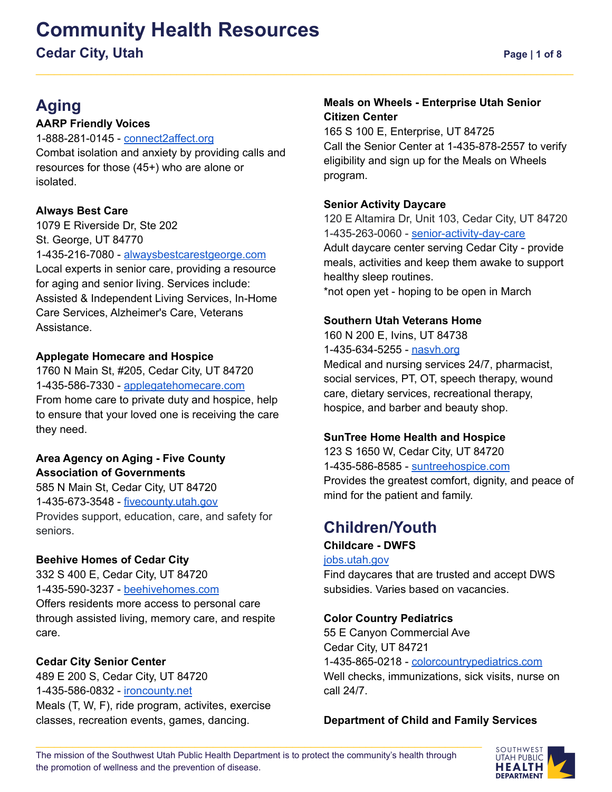## **Community Health Resources Cedar City, Utah Page 1** of 8

## **Aging**

#### **AARP Friendly Voices**

1-888-281-0145 - [connect2affect.org](https://connect2affect.org/) Combat isolation and anxiety by providing calls and resources for those (45+) who are alone or isolated.

#### **Always Best Care**

1079 E Riverside Dr, Ste 202 St. George, UT 84770 1-435-216-7080 - [alwaysbestcarestgeorge.com](http://www.alwaysbestcarestgeorge.com) Local experts in senior care, providing a resource for aging and senior living. Services include: Assisted & Independent Living Services, In-Home Care Services, Alzheimer's Care, Veterans Assistance.

#### **Applegate Homecare and Hospice**

1760 N Main St, #205, Cedar City, UT 84720 1-435-586-7330 - [applegatehomecare.com](https://www.applegatehomecare.com/) From home care to private duty and hospice, help to ensure that your loved one is receiving the care they need.

#### **Area Agency on Aging - Five County Association of Governments**

585 N Main St, Cedar City, UT 84720 1-435-673-3548 - [fivecounty.utah.gov](http://www.fivecounty.utah.gov/) Provides support, education, care, and safety for seniors.

#### **Beehive Homes of Cedar City**

332 S 400 E, Cedar City, UT 84720 1-435-590-3237 - [beehivehomes.com](https://beehivehomes.com/locations/cedar-city/) Offers residents more access to personal care through assisted living, memory care, and respite care.

#### **Cedar City Senior Center**

489 E 200 S, Cedar City, UT 84720 1-435-586-0832 - [ironcounty.net](https://www.ironcounty.net/government/departments/senior-citizen/cedar-city) Meals (T, W, F), ride program, activites, exercise classes, recreation events, games, dancing.

#### **Meals on Wheels - Enterprise Utah Senior Citizen Center**

165 S 100 E, Enterprise, UT 84725 Call the Senior Center at 1-435-878-2557 to verify eligibility and sign up for the Meals on Wheels program.

#### **Senior Activity Daycare**

120 E Altamira Dr, Unit 103, Cedar City, UT 84720 1-435-263-0060 - [senior-activity-day-care](https://senior-activity-day-care.business.site/) Adult daycare center serving Cedar City - provide meals, activities and keep them awake to support healthy sleep routines. \*not open yet - hoping to be open in March

#### **Southern Utah Veterans Home**

160 N 200 E, Ivins, UT 84738 1-435-634-5255 - nasyh.org Medical and nursing services 24/7, pharmacist, social services, PT, OT, speech therapy, wound care, dietary services, recreational therapy, hospice, and barber and beauty shop.

#### **SunTree Home Health and Hospice**

123 S 1650 W, Cedar City, UT 84720 1-435-586-8585 - [suntreehospice.com](https://suntreehospice.com/) Provides the greatest comfort, dignity, and peace of mind for the patient and family.

## **Children/Youth**

#### **Childcare - DWFS**

[jobs.utah.gov](https://jobs.utah.gov/jsp/cac/search)

Find daycares that are trusted and accept DWS subsidies. Varies based on vacancies.

#### **Color Country Pediatrics**

55 E Canyon Commercial Ave Cedar City, UT 84721 1-435-865-0218 - [colorcountrypediatrics.com](https://www.colorcountrypediatrics.com/) Well checks, immunizations, sick visits, nurse on call 24/7.

#### **Department of Child and Family Services**

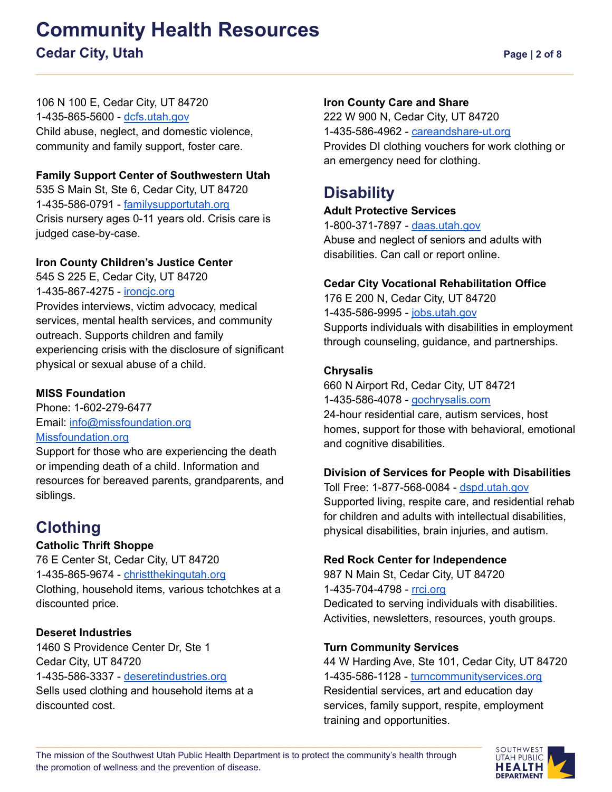106 N 100 E, Cedar City, UT 84720 1-435-865-5600 - [dcfs.utah.gov](https://dcfs.utah.gov/) Child abuse, neglect, and domestic violence, community and family support, foster care.

#### **Family Support Center of Southwestern Utah**

535 S Main St, Ste 6, Cedar City, UT 84720 1-435-586-0791 - [familysupportutah.org](https://familysupportutah.org/) Crisis nursery ages 0-11 years old. Crisis care is judged case-by-case.

#### **Iron County Children's Justice Center**

545 S 225 E, Cedar City, UT 84720 1-435-867-4275 - [ironcjc.org](https://ironcjc.org/) Provides interviews, victim advocacy, medical services, mental health services, and community outreach. Supports children and family experiencing crisis with the disclosure of significant physical or sexual abuse of a child.

#### **MISS Foundation**

Phone: 1-602-279-6477 Email: [info@missfoundation.org](mailto:info@missfoundation.org) [Missfoundation.org](https://www.missfoundation.org/)

Support for those who are experiencing the death or impending death of a child. Information and resources for bereaved parents, grandparents, and siblings.

## **Clothing**

#### **Catholic Thrift Shoppe**

76 E Center St, Cedar City, UT 84720 1-435-865-9674 - [christthekingutah.org](https://christthekingutah.org/ye-olde-catholic-thrift-shoppe/) Clothing, household items, various tchotchkes at a discounted price.

#### **Deseret Industries**

1460 S Providence Center Dr, Ste 1 Cedar City, UT 84720 1-435-586-3337 - [deseretindustries.org](https://www.deseretindustries.org/) Sells used clothing and household items at a discounted cost.

#### **Iron County Care and Share**

222 W 900 N, Cedar City, UT 84720 1-435-586-4962 - [careandshare-ut.org](https://www.careandshare-ut.org/) Provides DI clothing vouchers for work clothing or an emergency need for clothing.

## **Disability**

#### **Adult Protective Services**

1-800-371-7897 - [daas.utah.gov](https://daas.utah.gov/adult-protective-services/) Abuse and neglect of seniors and adults with disabilities. Can call or report online.

#### **Cedar City Vocational Rehabilitation Office**

176 E 200 N, Cedar City, UT 84720 1-435-586-9995 - [jobs.utah.gov](https://jobs.utah.gov/usor/vr/index.html) Supports individuals with disabilities in employment through counseling, guidance, and partnerships.

#### **Chrysalis**

660 N Airport Rd, Cedar City, UT 84721 1-435-586-4078 - [gochrysalis.com](https://www.gochrysalis.com/) 24-hour residential care, autism services, host homes, support for those with behavioral, emotional and cognitive disabilities.

#### **Division of Services for People with Disabilities**

Toll Free: 1-877-568-0084 - [dspd.utah.gov](https://dspd.utah.gov/) Supported living, respite care, and residential rehab for children and adults with intellectual disabilities, physical disabilities, brain injuries, and autism.

#### **Red Rock Center for Independence**

987 N Main St, Cedar City, UT 84720 1-435-704-4798 - [rrci.org](https://www.rrci.org/) Dedicated to serving individuals with disabilities. Activities, newsletters, resources, youth groups.

#### **Turn Community Services**

44 W Harding Ave, Ste 101, Cedar City, UT 84720 1-435-586-1128 - [turncommunityservices.org](https://www.turncommunityservices.org/) Residential services, art and education day services, family support, respite, employment training and opportunities.

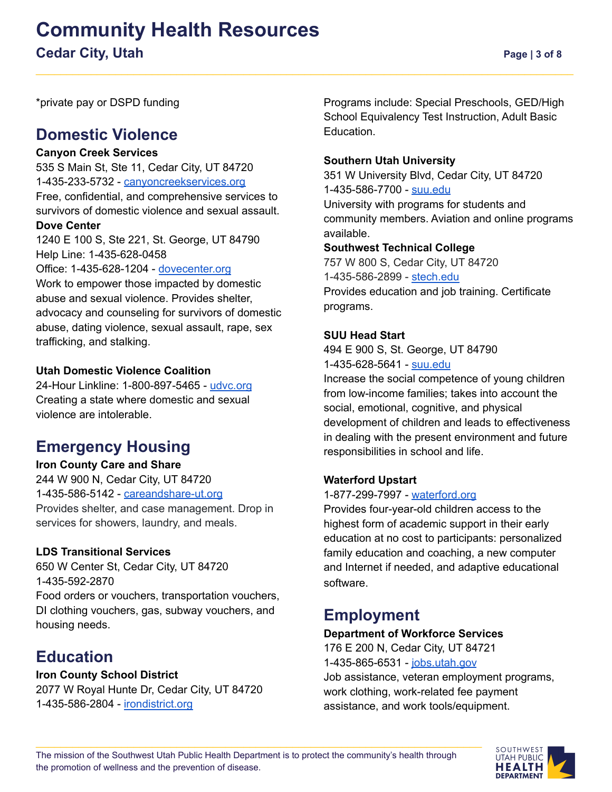## **Community Health Resources Cedar City, Utah Page | 3 of 8**

\*private pay or DSPD funding

## **Domestic Violence**

#### **Canyon Creek Services**

535 S Main St, Ste 11, Cedar City, UT 84720 1-435-233-5732 - [canyoncreekservices.org](https://canyoncreekservices.org/) Free, confidential, and comprehensive services to survivors of domestic violence and sexual assault.

#### **Dove Center**

1240 E 100 S, Ste 221, St. George, UT 84790 Help Line: 1-435-628-0458

Office: 1-435-628-1204 - [dovecenter.org](https://dovecenter.org/)

Work to empower those impacted by domestic abuse and sexual violence. Provides shelter, advocacy and counseling for survivors of domestic abuse, dating violence, sexual assault, rape, sex trafficking, and stalking.

#### **Utah Domestic Violence Coalition**

24-Hour Linkline: 1-800-897-5465 - [udvc.org](https://www.udvc.org/) Creating a state where domestic and sexual violence are intolerable.

## **Emergency Housing**

#### **Iron County Care and Share** 244 W 900 N, Cedar City, UT 84720

1-435-586-5142 - [careandshare-ut.org](https://www.careandshare-ut.org/)

Provides shelter, and case management. Drop in services for showers, laundry, and meals.

#### **LDS Transitional Services**

650 W Center St, Cedar City, UT 84720 1-435-592-2870 Food orders or vouchers, transportation vouchers, DI clothing vouchers, gas, subway vouchers, and housing needs.

## **Education**

#### **Iron County School District**

2077 W Royal Hunte Dr, Cedar City, UT 84720 1-435-586-2804 - [irondistrict.org](https://irondistrict.org/)

Programs include: Special Preschools, GED/High School Equivalency Test Instruction, Adult Basic Education.

#### **Southern Utah University**

351 W University Blvd, Cedar City, UT 84720 1-435-586-7700 - [suu.edu](https://www.suu.edu/) University with programs for students and community members. Aviation and online programs available.

#### **Southwest Technical College**

757 W 800 S, Cedar City, UT 84720 1-435-586-2899 - [stech.edu](https://stech.edu/) Provides education and job training. Certificate programs.

#### **SUU Head Start**

494 E 900 S, St. George, UT 84790 1-435-628-5641 - [suu.edu](https://www.suu.edu/headstart/)

Increase the social competence of young children from low-income families; takes into account the social, emotional, cognitive, and physical development of children and leads to effectiveness in dealing with the present environment and future responsibilities in school and life.

#### **Waterford Upstart**

#### 1-877-299-7997 - [waterford.org](https://www.waterford.org/)

Provides four-year-old children access to the highest form of academic support in their early education at no cost to participants: personalized family education and coaching, a new computer and Internet if needed, and adaptive educational software.

## **Employment**

#### **Department of Workforce Services**

176 E 200 N, Cedar City, UT 84721 1-435-865-6531 - [jobs.utah.gov](https://jobs.utah.gov/)

Job assistance, veteran employment programs, work clothing, work-related fee payment assistance, and work tools/equipment.

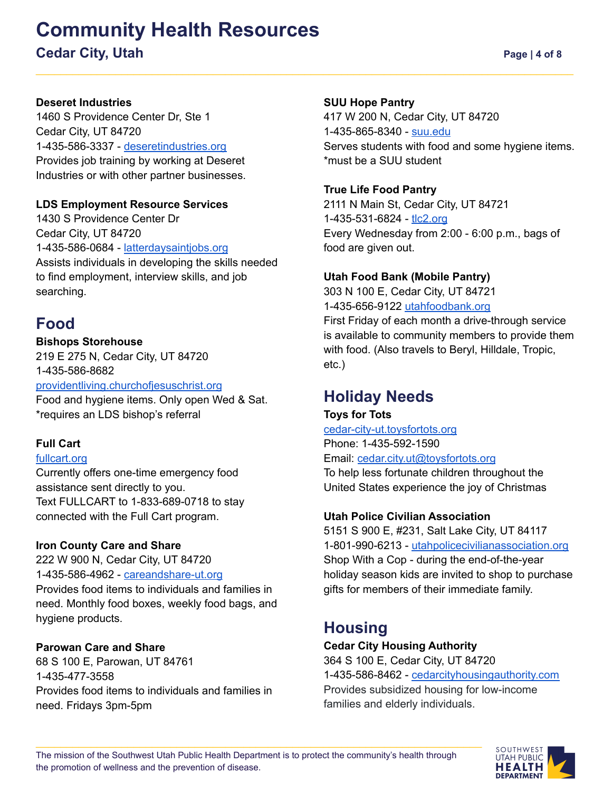## **Community Health Resources**

## **Cedar City, Utah Page | 4 of 8**

#### **Deseret Industries**

1460 S Providence Center Dr, Ste 1 Cedar City, UT 84720 1-435-586-3337 - [deseretindustries.org](https://www.deseretindustries.org/) Provides job training by working at Deseret Industries or with other partner businesses.

#### **LDS Employment Resource Services**

1430 S Providence Center Dr Cedar City, UT 84720 1-435-586-0684 - [latterdaysaintjobs.org](https://www.latterdaysaintjobs.org/ers/ct/?lang=eng) Assists individuals in developing the skills needed to find employment, interview skills, and job searching.

## **Food**

#### **Bishops Storehouse**

219 E 275 N, Cedar City, UT 84720 1-435-586-8682 [providentliving.churchofjesuschrist.org](https://providentliving.churchofjesuschrist.org/self-reliance/food-storage/home-storage-center-locations?lang=eng)

Food and hygiene items. Only open Wed & Sat. \*requires an LDS bishop's referral

#### **Full Cart**

#### [fullcart.org](https://fullcart.org/)

Currently offers one-time emergency food assistance sent directly to you. Text FULLCART to 1-833-689-0718 to stay connected with the Full Cart program.

#### **Iron County Care and Share**

222 W 900 N, Cedar City, UT 84720 1-435-586-4962 - [careandshare-ut.org](https://www.careandshare-ut.org/) Provides food items to individuals and families in need. Monthly food boxes, weekly food bags, and hygiene products.

#### **Parowan Care and Share**

68 S 100 E, Parowan, UT 84761 1-435-477-3558 Provides food items to individuals and families in need. Fridays 3pm-5pm

#### **SUU Hope Pantry**

417 W 200 N, Cedar City, UT 84720 1-435-865-8340 - [suu.edu](https://www.suu.edu/cec/hope-pantry.html) Serves students with food and some hygiene items. \*must be a SUU student

#### **True Life Food Pantry**

2111 N Main St, Cedar City, UT 84721 1-435-531-6824 - [tlc2.org](http://tlc2.org/ministries/food-pantry/) Every Wednesday from 2:00 - 6:00 p.m., bags of food are given out.

#### **Utah Food Bank (Mobile Pantry)**

303 N 100 E, Cedar City, UT 84721 1-435-656-9122 [utahfoodbank.org](https://www.utahfoodbank.org/programs/mobile-pantry/)

First Friday of each month a drive-through service is available to community members to provide them with food. (Also travels to Beryl, Hilldale, Tropic, etc.)

## **Holiday Needs**

**Toys for Tots** [cedar-city-ut.toysfortots.org](https://cedar-city-ut.toysfortots.org/local-coordinator-sites/lco-sites/default.aspx?nPageID=100&nPreviewInd=200&nRedirectInd=3) Phone: 1-435-592-1590 Email: [cedar.city.ut@toysfortots.org](mailto:cedar.city.ut@toysfortots.org) To help less fortunate children throughout the United States experience the joy of Christmas

#### **Utah Police Civilian Association**

5151 S 900 E, #231, Salt Lake City, UT 84117 1-801-990-6213 - [utahpolicecivilianassociation.org](https://utahpolicecivilianassociation.org/) Shop With a Cop - during the end-of-the-year holiday season kids are invited to shop to purchase gifts for members of their immediate family.

## **Housing**

#### **Cedar City Housing Authority**

364 S 100 E, Cedar City, UT 84720 1-435-586-8462 - [cedarcityhousingauthority.com](https://cedarcityhousingauthority.com/) Provides subsidized housing for low-income families and elderly individuals.

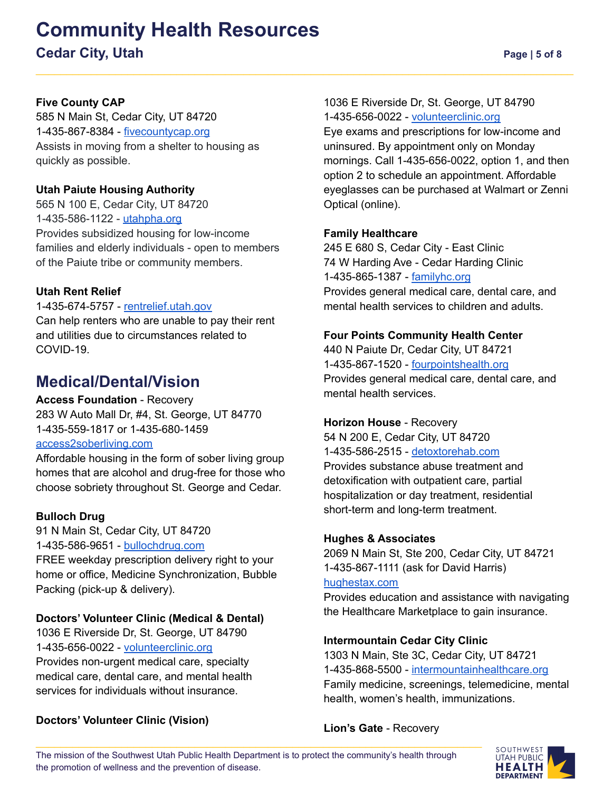# **Community Health Resources**

**Cedar City, Utah Page | 5 of 8** 

#### **Five County CAP**

585 N Main St, Cedar City, UT 84720 1-435-867-8384 - [fivecountycap.org](https://fivecountycap.org/cap-programs/rapid-rehousing/) Assists in moving from a shelter to housing as quickly as possible.

#### **Utah Paiute Housing Authority**

565 N 100 E, Cedar City, UT 84720 1-435-586-1122 - [utahpha.org](https://utahpha.org/programs/) Provides subsidized housing for low-income families and elderly individuals - open to members of the Paiute tribe or community members.

#### **Utah Rent Relief**

#### 1-435-674-5757 - [rentrelief.utah.gov](https://rentrelief.utah.gov/)

Can help renters who are unable to pay their rent and utilities due to circumstances related to COVID-19.

### **Medical/Dental/Vision**

#### **Access Foundation** - Recovery

283 W Auto Mall Dr, #4, St. George, UT 84770 1-435-559-1817 or 1-435-680-1459 [access2soberliving.com](https://access2soberliving.com/)

Affordable housing in the form of sober living group homes that are alcohol and drug-free for those who choose sobriety throughout St. George and Cedar.

#### **Bulloch Drug**

91 N Main St, Cedar City, UT 84720 1-435-586-9651 - [bullochdrug.com](https://bullochdrug.com/) FREE weekday prescription delivery right to your home or office, Medicine Synchronization, Bubble Packing (pick-up & delivery).

#### **Doctors' Volunteer Clinic (Medical & Dental)**

1036 E Riverside Dr, St. George, UT 84790 1-435-656-0022 - [volunteerclinic.org](https://www.volunteerclinic.org/) Provides non-urgent medical care, specialty medical care, dental care, and mental health services for individuals without insurance.

#### **Doctors' Volunteer Clinic (Vision)**

1036 E Riverside Dr, St. George, UT 84790 1-435-656-0022 - [volunteerclinic.org](https://www.volunteerclinic.org/)

Eye exams and prescriptions for low-income and uninsured. By appointment only on Monday mornings. Call 1-435-656-0022, option 1, and then option 2 to schedule an appointment. Affordable eyeglasses can be purchased at Walmart or Zenni Optical (online).

#### **Family Healthcare**

245 E 680 S, Cedar City - East Clinic 74 W Harding Ave - Cedar Harding Clinic 1-435-865-1387 - [familyhc.org](https://familyhc.org/) Provides general medical care, dental care, and mental health services to children and adults.

#### **Four Points Community Health Center**

440 N Paiute Dr, Cedar City, UT 84721 1-435-867-1520 - [fourpointshealth.org](https://fourpointshealth.org/) Provides general medical care, dental care, and mental health services.

#### **Horizon House** - Recovery

54 N 200 E, Cedar City, UT 84720 1-435-586-2515 - [detoxtorehab.com](https://detoxtorehab.com/directory/horizon-house-cedar-city/) Provides substance abuse treatment and detoxification with outpatient care, partial hospitalization or day treatment, residential short-term and long-term treatment.

#### **Hughes & Associates**

2069 N Main St, Ste 200, Cedar City, UT 84721 1-435-867-1111 (ask for David Harris) [hughestax.com](http://www.hughestax.com/)

Provides education and assistance with navigating the Healthcare Marketplace to gain insurance.

#### **Intermountain Cedar City Clinic**

1303 N Main, Ste 3C, Cedar City, UT 84721 1-435-868-5500 - [intermountainhealthcare.org](https://intermountainhealthcare.org/locations/cedar-city-clinic/) Family medicine, screenings, telemedicine, mental health, women's health, immunizations.

**Lion's Gate** - Recovery

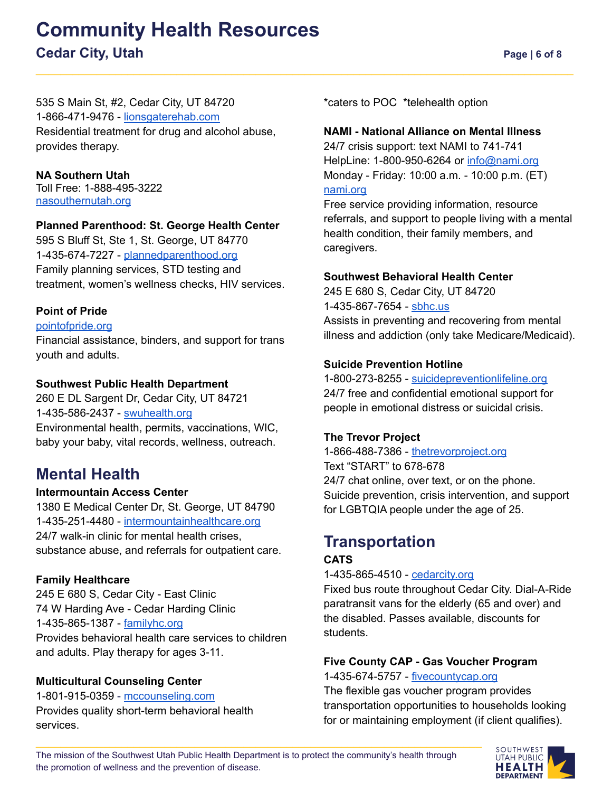## **Community Health Resources Cedar City, Utah Page | 6 of 8**

535 S Main St, #2, Cedar City, UT 84720 1-866-471-9476 - [lionsgaterehab.com](https://lionsgaterehab.com/) Residential treatment for drug and alcohol abuse, provides therapy.

**NA Southern Utah** Toll Free: 1-888-495-3222 [nasouthernutah.org](http://nasouthernutah.org/)

#### **Planned Parenthood: St. George Health Center**

595 S Bluff St, Ste 1, St. George, UT 84770 1-435-674-7227 - [plannedparenthood.org](https://www.plannedparenthood.org/health-center/utah/saint-george/84770/st-george-health-center-2813-91730?utm_campaign=st.-george-health-center&utm_medium=organic&utm_source=local-listing) Family planning services, STD testing and treatment, women's wellness checks, HIV services.

#### **Point of Pride**

#### [pointofpride.org](https://pointofpride.org/)

Financial assistance, binders, and support for trans youth and adults.

#### **Southwest Public Health Department**

260 E DL Sargent Dr, Cedar City, UT 84721 1-435-586-2437 - [swuhealth.org](https://swuhealth.org/) Environmental health, permits, vaccinations, WIC, baby your baby, vital records, wellness, outreach.

## **Mental Health**

#### **Intermountain Access Center**

1380 E Medical Center Dr, St. George, UT 84790 1-435-251-4480 - [intermountainhealthcare.org](https://intermountainhealthcare.org/) 24/7 walk-in clinic for mental health crises, substance abuse, and referrals for outpatient care.

#### **Family Healthcare**

245 E 680 S, Cedar City - East Clinic 74 W Harding Ave - Cedar Harding Clinic 1-435-865-1387 - [familyhc.org](https://familyhc.org/) Provides behavioral health care services to children and adults. Play therapy for ages 3-11.

#### **Multicultural Counseling Center**

1-801-915-0359 - [mccounseling.com](https://www.mccounseling.com/) Provides quality short-term behavioral health services.

\*caters to POC \*telehealth option

#### **NAMI - National Alliance on Mental Illness**

24/7 crisis support: text NAMI to 741-741 HelpLine: 1-800-950-6264 or [info@nami.org](mailto:info@nami.org) Monday - Friday: 10:00 a.m. - 10:00 p.m. (ET) [nami.org](https://www.nami.org/Home)

Free service providing information, resource referrals, and support to people living with a mental health condition, their family members, and caregivers.

#### **Southwest Behavioral Health Center**

245 E 680 S, Cedar City, UT 84720 1-435-867-7654 - [sbhc.us](http://www.sbhc.us/) Assists in preventing and recovering from mental illness and addiction (only take Medicare/Medicaid).

#### **Suicide Prevention Hotline**

1-800-273-8255 - [suicidepreventionlifeline.org](https://suicidepreventionlifeline.org/) 24/7 free and confidential emotional support for people in emotional distress or suicidal crisis.

#### **The Trevor Project**

1-866-488-7386 - [thetrevorproject.org](https://www.thetrevorproject.org/) Text "START" to 678-678 24/7 chat online, over text, or on the phone. Suicide prevention, crisis intervention, and support for LGBTQIA people under the age of 25.

## **Transportation**

#### **CATS**

#### 1-435-865-4510 - [cedarcity.org](https://www.cedarcity.org/92/Transportation)

Fixed bus route throughout Cedar City. Dial-A-Ride paratransit vans for the elderly (65 and over) and the disabled. Passes available, discounts for students.

#### **Five County CAP - Gas Voucher Program**

1-435-674-5757 - [fivecountycap.org](https://fivecountycap.org/gas-voucher-program/)

The flexible gas voucher program provides transportation opportunities to households looking for or maintaining employment (if client qualifies).

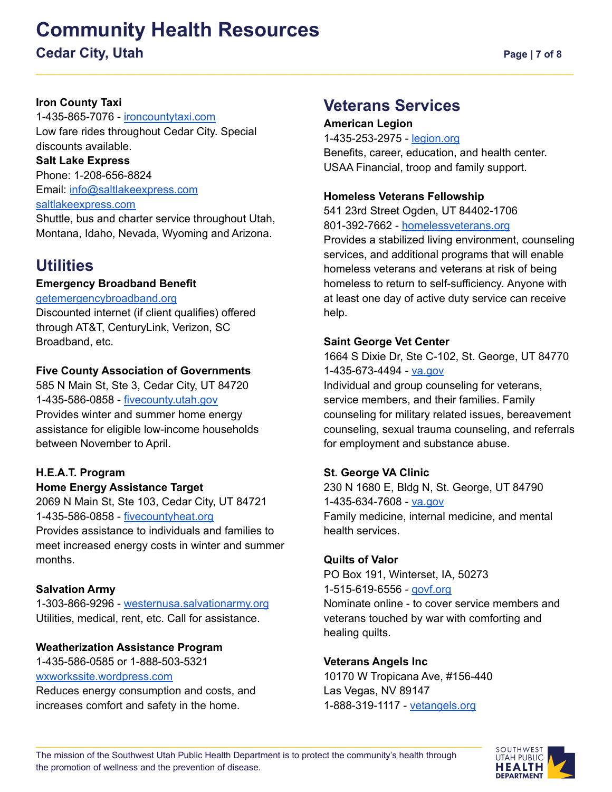## **Community Health Resources**

### **Cedar City, Utah Page | 7 of 8**

#### **Iron County Taxi**

1-435-865-7076 - [ironcountytaxi.com](https://www.ironcountytaxi.com/) Low fare rides throughout Cedar City. Special discounts available. **Salt Lake Express** Phone: 1-208-656-8824 Email: [info@saltlakeexpress.com](mailto:info@saltlakeexpress.com) [saltlakeexpress.com](https://saltlakeexpress.com/)

Shuttle, bus and charter service throughout Utah, Montana, Idaho, Nevada, Wyoming and Arizona.

## **Utilities**

#### **Emergency Broadband Benefit**

#### [getemergencybroadband.org](https://getemergencybroadband.org/)

Discounted internet (if client qualifies) offered through AT&T, CenturyLink, Verizon, SC Broadband, etc.

#### **Five County Association of Governments**

585 N Main St, Ste 3, Cedar City, UT 84720 1-435-586-0858 - [fivecounty.utah.gov](http://www.fivecounty.utah.gov/) Provides winter and summer home energy assistance for eligible low-income households between November to April.

#### **H.E.A.T. Program**

#### **Home Energy Assistance Target**

2069 N Main St, Ste 103, Cedar City, UT 84721 1-435-586-0858 - [fivecountyheat.org](https://fivecountyheat.org) Provides assistance to individuals and families to meet increased energy costs in winter and summer

#### **Salvation Army**

months.

1-303-866-9296 - [westernusa.salvationarmy.org](https://westernusa.salvationarmy.org/intermountain_us_west/locdraft/) Utilities, medical, rent, etc. Call for assistance.

#### **Weatherization Assistance Program**

1-435-586-0585 or 1-888-503-5321 [wxworkssite.wordpress.com](https://wxworkssite.wordpress.com) Reduces energy consumption and costs, and increases comfort and safety in the home.

### **Veterans Services**

#### **American Legion**

1-435-253-2975 - [legion.org](https://www.legion.org/)

Benefits, career, education, and health center. USAA Financial, troop and family support.

#### **Homeless Veterans Fellowship**

541 23rd Street Ogden, UT 84402-1706 801-392-7662 - [homelessveterans.org](https://www.homelessveterans.org/)

Provides a stabilized living environment, counseling services, and additional programs that will enable homeless veterans and veterans at risk of being homeless to return to self-sufficiency. Anyone with at least one day of active duty service can receive help.

#### **Saint George Vet Center**

1664 S Dixie Dr, Ste C-102, St. George, UT 84770 1-435-673-4494 - [va.gov](https://www.va.gov/)

Individual and group counseling for veterans, service members, and their families. Family counseling for military related issues, bereavement counseling, sexual trauma counseling, and referrals for employment and substance abuse.

#### **St. George VA Clinic**

230 N 1680 E, Bldg N, St. George, UT 84790 1-435-634-7608 - [va.gov](https://www.va.gov/salt-lake-city-health-care/locations/st-george-va-clinic/) Family medicine, internal medicine, and mental health services.

#### **Quilts of Valor**

PO Box 191, Winterset, IA, 50273 1-515-619-6556 - [qovf.org](https://www.qovf.org/) Nominate online - to cover service members and veterans touched by war with comforting and healing quilts.

#### **Veterans Angels Inc**

10170 W Tropicana Ave, #156-440 Las Vegas, NV 89147 1-888-319-1117 - [vetangels.org](https://vetangels.org/)